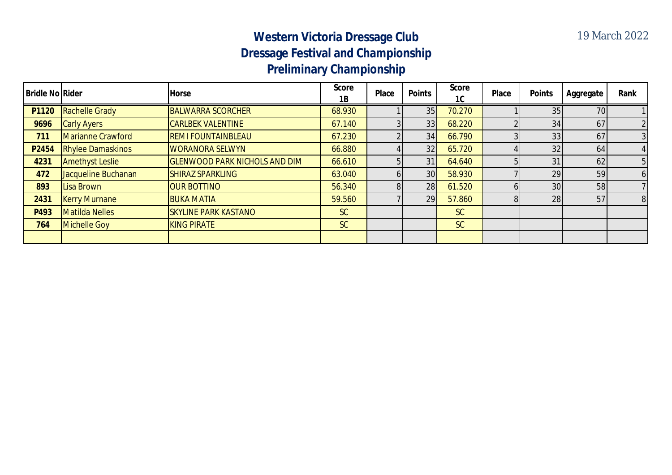## **Western Victoria Dressage Club Dressage Festival and Championship Preliminary Championship**

| <b>Bridle No Rider</b> |                          | <b>Horse</b>                         | <b>Score</b><br>1B | <b>Place</b> | <b>Points</b>   | <b>Score</b><br>1C | Place | <b>Points</b>   | Aggregate | Rank           |
|------------------------|--------------------------|--------------------------------------|--------------------|--------------|-----------------|--------------------|-------|-----------------|-----------|----------------|
| P1120                  | <b>Rachelle Grady</b>    | <b>BALWARRA SCORCHER</b>             | 68.930             |              | 35              | 70.270             |       | 35              | 70        |                |
| 9696                   | <b>Carly Ayers</b>       | <b>CARLBEK VALENTINE</b>             | 67.140             |              | 33              | 68.220             |       | 34              | 67        |                |
| 711                    | <b>Marianne Crawford</b> | <b>REMI FOUNTAINBLEAU</b>            | 67.230             |              | 34              | 66.790             |       | 33              | 67        |                |
| P2454                  | <b>Rhylee Damaskinos</b> | <b>WORANORA SELWYN</b>               | 66.880             |              | 32              | 65.720             |       | 32              | 64        |                |
| 4231                   | <b>Amethyst Leslie</b>   | <b>GLENWOOD PARK NICHOLS AND DIM</b> | 66.610             |              | 31              | 64.640             |       | 31              | 62        | 5              |
| 472                    | Jacqueline Buchanan      | <b>SHIRAZ SPARKLING</b>              | 63.040             |              | 30 <sup>1</sup> | 58.930             |       | 29              | 59        | 61             |
| 893                    | Lisa Brown               | <b>OUR BOTTINO</b>                   | 56.340             |              | 28              | 61.520             |       | 30 <sup>1</sup> | 58        |                |
| 2431                   | <b>Kerry Murnane</b>     | <b>BUKA MATIA</b>                    | 59.560             |              | 29              | 57.860             |       | 28              | 57        | 8 <sup>1</sup> |
| P493                   | <b>Matilda Nelles</b>    | <b>SKYLINE PARK KASTANO</b>          | SC                 |              |                 | SC                 |       |                 |           |                |
| 764                    | <b>Michelle Goy</b>      | <b>KING PIRATE</b>                   | <b>SC</b>          |              |                 | SC                 |       |                 |           |                |
|                        |                          |                                      |                    |              |                 |                    |       |                 |           |                |